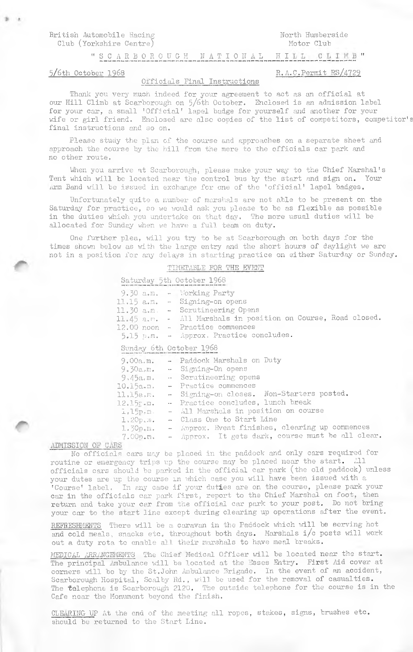British Automobile Racing North Humberside Club (Yorkshire Centre) and Motor Club Motor Club

### " SCARBOROUGH \_ NATIONAL HILL CLIMB"

#### 5/6th October 1968 R.A.C.Permit RS/4729

#### Qifioials Final Instructions

Thank you very much indeed for your agreement to act as an official at our Hill Climb at Scarborough on 5/6th October. Enclosed is an admission label for your car, a small 'Official' lapel badge for yourself and another for your wife or girl friend. Enclosed are also copies of the list of competitors, competitor's final instructions and so on.

Please study the plan of the course and approaches on a separate sheet and approach the course by the hill from the mere to the officials car park and no other route.

When you arrive at Scarborough, please make your way to the Chief Marshal's Tent which will be located near the control bus by the start and sign on. Your Arm Band will be issued in exchange for one of the 'official' lapel badges.

Unfortunately quite a number of marshals are not able to be present on the Saturday for practice, so we would ask you please to be as flexible as possible in the duties which you undertake on that day. The more usual duties will be allocated for Sunday when we have a full team on duty.

One further plea, will you try to be at Scarborough on both days for the times shown below as with the large entry and the short hours of daylight we are not in a position for any delays in starting practice on either Saturday or Sunday,

#### TIMETABLE FOR THE EVENT

#### Saturday 5th October 1968

|  | $9.50$ a.m. $-$ Working Party                                 |
|--|---------------------------------------------------------------|
|  | 11.15 a.m. - Signing-on opens                                 |
|  | 11.30 a.m. - Scrutineering Opens                              |
|  | 11.45 a.m. - All Marshals in position on Course, Road closed. |
|  | 12.00 noon - Practice commences                               |
|  | 5.15 p.m. - Approx, Practice concludes.                       |
|  | Sunday 6th October 1968                                       |

| 9.00a.m. | $\sim$      | Paddock Marshals on Duty |  |
|----------|-------------|--------------------------|--|
| 9.30a.m. | <b>SALE</b> | Signing-On opens         |  |

- Signing-On opens
- 9>45a<m. " Scrutineering opens
- 10.15a-m. Practice commences
- ll.15a.m. Signing-on closes. Non-Starters posted.
- 12.15r.m. Practice concludes, lunch break
- 1.15p.m. All Marshals in position on course
- l,20p.:ii. Class One to Start Line
- 1 , 30p.m. Anprox. Event finishes, clearing up commences
	-
- 7.00p.m. Approx. It gets dark, course must be all clear.

### ADMISSION OF CARS

Ho officials cars may be placed in the paddock and only cars required for routine or emergency trips up the course may be placed near the start. All officials cars should be paxked in t!ie official car park (the old paddock) unless your dutes are up the course in which case you will have been issued with a 'Course' label. In any case if your duties ar'e on the course, please park your car in the officials car park first, report to the Chief Marshal on foot, then return and take your car from the official car park to your post. Do not bring your car to the start line except during clearing up operations after the event.

REFRESHMENTS There will be a caravan in the Paddock which will be serving hot and cold meals, snacks etc. throughout both days. Marshals  $i/c$  posts will work out a duty rota to enable all their marshals to have meal breaks.

MEDICAL ARRANGEMENTS The Chief Medical Officer will be located near the start. The principal Ambulance will be located at the Esses Entry. First Aid cover at corners will be by the St.John Ambulance Brigade. In the event of an accident, Scarborough Hospital, Scalby Rd., will be used for the removal of casualties. The telephone is Scarborough 2120. The outside telephone for the course is in the Cafe near the Monument beyond the finish.

CLEARING UP At the end of the meeting all ropes, stakes, signs, brushes etc. should be returned to the Start Line.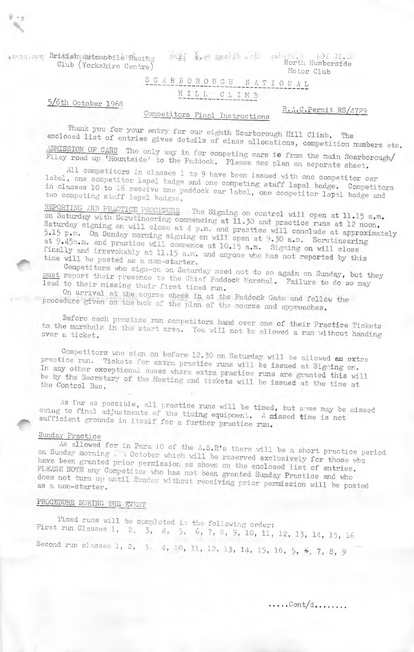12919. Math BritishmAutomobile Racing Club (Yorkshire Centre)

 $x \rightarrow y$ h,

> Salo 104 C. Sheder Elva Climan Ma. 4 1220 North Humberside Motor Club

# SCARBOROUGH NATIONAL

#### HILL CLIMB

5/6th October 1968

#### R.A.C.Permit RS/4729 Competitors Final Instructions

Thank you for your entry for our eighth Scarborough Hill Climb. The enclosed list of entries gives details of class allocations, competition numbers etc.

ADMISSION OF CARS The only way in for competing cars is from the main Scarborough/ Filey road up 'Mountside' to the Paddock. Please see plan on separate sheet.

All competitors in classes 1 to 9 have been issued with one competitor car label, one competitor lapel badge and one competing staff lapel badge. Competitors in classes 10 to 16 receive one paddock car label, one competitor lapel badge and two competing staff lapel badges.

REPORTING AND PRACTICE PROCEDURE The Signing on control will open at 11.15 a.m. on Saturday with Scrutineering commencing at 11.30 and practice runs at 12 noon. Saturday signing on will close at 4 p.m. and practice will conclude at approximately 5.15 p.m. On Sunday morning signing on will open at  $9.30$  a.m. Scrutineering at  $9.45n.m.$  and practice will commence at  $10.15$  a.m. Signing on will close finally and irrevokably at 11,15 a.m. and anyone who has not reported by this time will be posted as a non-starter.

Competitors who sign-on on Saturday need not do so again on Sunday, but they must report their presence to the Chief Paddock Marshal. Failure to do so may lead to their missing their first timed run.

On arrival at the course check in at the Paddock Gate and follow the procedure given on the back of the plan of the course and approaches.

Before each practice run competitors hand over one of their Practice Tickets to the marshals in the start area. You will not be allowed a run without handing

Competitors who sign on before 12.30 on Saturday will be allowed an extra practice run. Tickets for extra practice runs will be issued at Signing on. In any other exceptional cases where extra practice runs are granted this will be by the Secretary of the Meeting and tickets will be issued at the time at the Control Bus.

As far as possible, all practice runs will be timed, but some may be missed<br>owing to final adjustments of the timing equipment. A missed time is not sufficient grounds in itself for a further practice run.

#### Sunday Practice

As allowed for in Para 10 of the A.S.R's there will be a short practice period on Sunday morning in October which will be reserved exclusively for those who have been granted prior permission as shown on the enclosed list of entries. PLEASE NOTE any Competitor who has not been granted Sunday Practice and who does not turn up until Sunday without receiving prior permission will be posted as a non-starter.

### PROCEDURE DURING THE EVERY

Timed runs will be completed in the following order: First run Classes 1,  $2, 3, 4, 5, 6, 7, 8, 9, 10, 11, 12, 13, 14, 15, 16$ Second run classes 1, 2, 3. 4, 10, 11, 12, 13, 14, 15, 16, 5, 6, 7, 8, 9

 $\ldots$ . Cont/d.......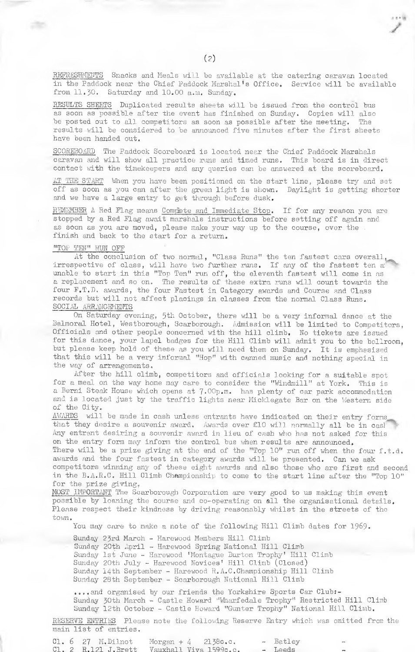RIFTRESHMENTS Snacks and Meals will be available at the catering caravan located in the Paddock near the Chief Paddock Marshal's Office. Service will be available from 11.30. Saturday and 10.00 a.m. Sunday.

RESULTS SHEETS Duplicated results sheets will be issued from the control bus as soon as possible after the event has finished on Sunday. Copies will also be posted out to all competitors as soon as possible after the meeting. The results will be considered to be announced five minutes after the first sheets have been handed out.

SCOREBOARD The Paddock Scoreboard is located near the Chief Paddock Marshals caravan and will show all practice runs and timed runs. This board is in direct contact with the timekeepers and any queries can be answered at the scoreboard.

AT THE START When you have been positioned on the start line, please try and set off as soon as you can after the green light is shown. Daylight is getting shorter and we have a large entry to get through before dusk.

REMIMBER A Red Flag means Complete and Immediate Stop. If for any reason you are stopped by a Red Flag await marshals instructions before setting off again and as soon as you are moved, please make your way up to the course, over the finish and back to the start for a return.

#### "TOP TEN" RUN OFF

**CRO** 

At the conclusion of two normal, "Class Runs" the ten fastest cars overall, irrespective of class, will have two further runs. If any of the fastest ten a;  $\sim$ unable to start in this "Top Ten" rim off, the eleventh fastest will come in as a replacement and so on. The results of these extra runs will count towards the four F.T.D. awards, the four Fastest in Category awards and Course and Class records but will not affect placings in classes from the normal Class Runs. SOCIAL ARR.NGEMENTS

On Saturday evening, 5th October, there will be a very informal dance at the Balmoral Hotel, Westborough, Scarborough. Admission will be limited to Competitors, Officials and other people concerned with the hill climb, No tickets are issued for this dance, your lapel badges for the Hill Climb will admit you to the ballroom, but please keep hold of these as you will need them on Sunday. It is emphasised that this will be a very informal "Hop" with canned music and nothing special in the way of arrangements,

After the hill climb, competitors and officials looking for a suitable spot for a meal on the way home may care to consider the "Windmill" at York. This is a Berni Steak House which opens at 7.00p.m. has plenty of car park accommodation and is located just by the traffic lights near Micklegate Bar on the Western side of the City.

AWARDS will be made in cash unless entrants have indicated on their entry forms that they desire a souvenir award. Awards over £10 will normally all be in cas! Any entrant desiring a souvenir award in lieu of cash who has not asked for this on the entry form may inform the control bus when results are announced.

There will be a prize giving at the end of the "Top  $10$ " run off when the four f.t.d. awards and the four fastest in category awards will be presented. Can we ask competitors winning any of these eight awards and also those who are first and second in the B.A.R.C. Hill Climb Championship to come to the start line after the "Top 10" for the prize giving,

MOST IMPORTANT The Scarborough Corporation are very good to us making this event possible by loaning the course and co-operating on all the organisational details. Please respect their kindness by driving reasonably whilst in the streets of the to™ .

You may care to make a note of the following Hill Climb dates for 1969.

Sunday 23rd March - Harewood Members Hill Climb Sunday 20th April - Harewood Spring National Hill Climb Sunday 1st June - Harewood 'Montague Burton Trophy' Hill Climb Sunday 20th July - Harewood Novices' Hill Olimb (Closed) Sunday 14th September - Harewood R.A.C,Championship Hill Climb Sunday 2Sth September - Scarborough National Hill Climb

....and organised by our friends the Yorkshire Sports Car Club:-Sunday 30th March - Castle Howard "Wharfedale Trophy" Restricted Hill Climb Sunday 12th October - Castle Howard "Gunter Trophy" National Hill Climb.

RESERVE ENTRIES Please note the following Reserve Entry which was omitted from the main list of entries.

 $C1. 6 27$  M.Dilnot Morgan + 4 2138c.c. - Batley  $C1. 2 R.121 J. Brett$  Vauxhall Viva 1599c.c.  $\sim$  Leeds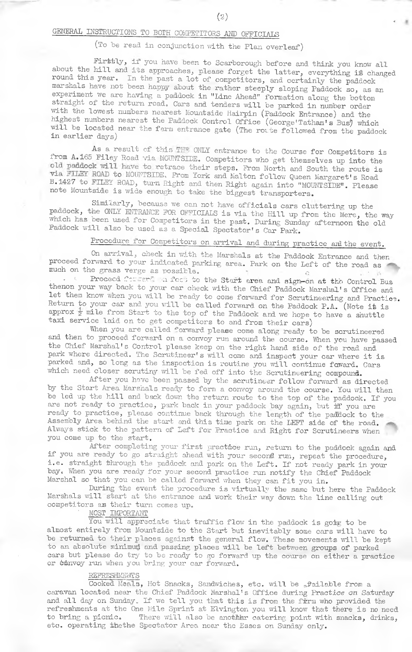### GENERAL INSTRUCTIONS TO BOTH COMPETITORS AND OFFICIALS

### (To be read in conjunction with the Plan overleaf)

Firtly, if you have been to Scarborough before and think you know all about the hill and ats approaches; please forget the latter, everything *±&* chanped round this year. In the past a lot of competitors, and certainly the paddock marshals have not been happy about the rather steeply sloping Paddock so, as an experiment we are having a paddock in "Line Ahead" formation along the bottom straight of the return road. Cars and tenders will be parked in number order with the lowest numbers nearest Mountside Hairpin (Paddock Entrance) and the highest numbers nearest the Paddock Control Office (George'Tatham's Bus) which will be located near the farm entrance gate (The route followed from the paddock in earlier days)

As a result of this THE ONLY entrance to the Course for Competitors is from A.165 Filey Road via MOUNTSIDE. Competitors who get themselves up into the old paddock will have to retrace their steps. From North and South the route is via FILEY ROAD to MOUNTSIDE. From York and Malton follow Queen Margaret's Road B.1427 to FILEY ROAD, turn Right and then Right again into "MOUNT SIDE". Please note Mountside is wide enough to take the biggest transporters.

Similarly, because we can not have officials cars cluttering up the paddock, the ONLY ENTRAICE FOR OFFICIALS is via the Hill up from the Mere, the way which has been used for Competitors in the past. During Sunday afternoon the old Paddock will also be used as a Special Spectator's Car Park.

## Procedure for Competitors on arrival and during practice and the event.

On arrival, check in with the Marshals at the Paddock Entrance and then proceed forward to your indicated parking area. Park on the Left of the road as much on the grass verge as possible.

Procecd ftivard in foct to the Start area and sign-on at the Control Bus thenon your way back to your car check with the Chief Paddock Marshal's Office and let them know when you will be ready to come forward for Scrutineering and Practioe. Return to your car and you will be called forward on the Paddock P.A. (Note it is approx  $\frac{1}{2}$  mile from Start to the top of the Paddock and we hope to have a shuttle taxi service laid on to get competitors to and from their cars)

When you are called forward please come along ready to be scrutineered and then to proceed forward on a convoy run around the course. When you have passed the Chief Marshal's Control please keep on the right hand side of the road and park where directed. The Scrutineer's will come and inspect your car where it is parked and, so long as the inspection is routine you will continue faward. Cars which need closer scrutiny will be fed off into the Scrutineering compound.

After you have been passed by the scrutineer follow forward as directed by the Start Area Marshals ready to form a convoy around the course. You will then be led up the hill and back down the return route to the top of the paddock. If you are not ready to practice, park back in your paddock bay again, but iff you are ready to practice, please continue back through the length of the paddock to the Teady to practice, prease contenue such since the respective of the road.<br>Assembly Area behind the start and this time park on the LEFT side of the road. Always stick to the pattern of Left for Practice and Right for Scrutineers when you come up to the start.

After completing your first practice run, return to the paddock again and if you are ready to go straight ahead with your seconfi run, repeat the procedure, i.e. straight through the paddock and park on the Left. If not ready park in your bay. When you are ready for your second practice run notify the Chief Paddock Marshal so that you can be called forward when they can fit you in.

During the event the procedure is virtually the same but here the Paddock Marshals will start at the entrance and work their way down the line calling out competitors as their turn comes up.

### MOST IMPORTANT

You will appreciate that traffic flow in the paddock is goig to be almost entirely from Mountside to the Start but inevitably some cars will have to be returned to their places against the general flow. These movements will be kept to an absolute minimum and passing places will be left between groups of parked cars but please do try to be ready to go forward up the course on either a practice or *binvoy* run when you bring your car forward.

#### REFRESHMENTS

Cooked Menls, Hot Snacks, Sandwiches, etc. will be afailable from a caravan located near the Chief Paddock Marshal's Office during Practice *an* Saturday and all day on Sunday. If we tell you that this is from the frrm who provided the refreshments at the One Mile Sprint at Elvington you will know that there is no need to bring a picnic. There will also be another catering point with snacks, drinks, etc. operating ihethe Spectator Area neex the Esses on Sunday only.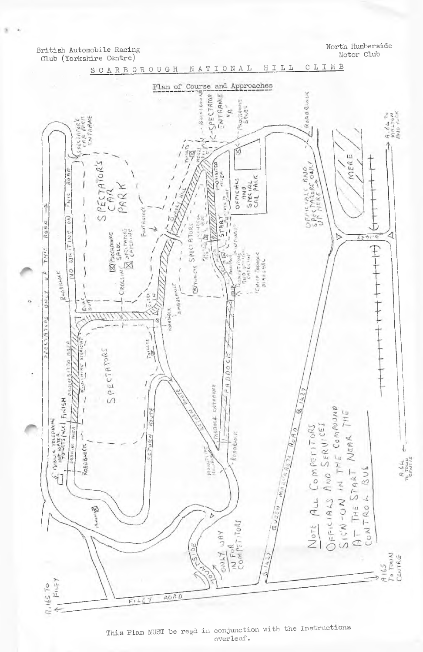British Automobile Racing Club (Yorkshire Centre)

North Humberside Motor Club



This Plan MUST be read in conjunction with the Instructions overleaf.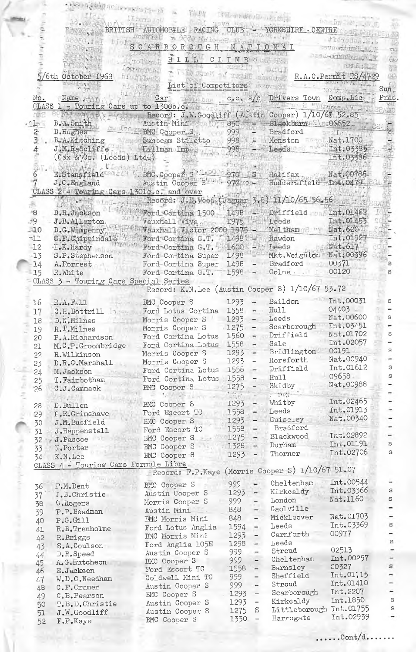|             | A A ROSE A DATABLIC KNOCKE                                                                                                                                                                                          |                                                                                                                                                                                                                                                                                                                                                                                                                                    |                           |                                            |                             |                         |                                |
|-------------|---------------------------------------------------------------------------------------------------------------------------------------------------------------------------------------------------------------------|------------------------------------------------------------------------------------------------------------------------------------------------------------------------------------------------------------------------------------------------------------------------------------------------------------------------------------------------------------------------------------------------------------------------------------|---------------------------|--------------------------------------------|-----------------------------|-------------------------|--------------------------------|
|             |                                                                                                                                                                                                                     | They was the constant                                                                                                                                                                                                                                                                                                                                                                                                              |                           |                                            |                             |                         |                                |
|             |                                                                                                                                                                                                                     | BRITISH AUTOMOBILE RACING CLUB--- YORKSHIRE CENTRE                                                                                                                                                                                                                                                                                                                                                                                 |                           |                                            |                             | ha-my 1959              |                                |
|             |                                                                                                                                                                                                                     |                                                                                                                                                                                                                                                                                                                                                                                                                                    |                           |                                            |                             | flerodant.              |                                |
|             |                                                                                                                                                                                                                     | $\begin{array}{lll} \text{if $A$ is $0$ is $A$ is $0$ and $A$ is $0$ and $A$ is $0$ and $A$ is $0$ and $A$ is $0$ and $A$ is $0$ and $A$ is $0$ and $A$ is $0$ and $A$ is $0$ and $A$ is $0$ and $A$ is $0$ and $A$ is $0$ and $A$ is $0$ and $A$ is $0$ and $A$ is $0$ and $A$ is $0$ and $A$ is $0$ and $A$ is $0$ and $A$ is $0$ and $A$ is $0$ and $A$ is $0$ and $A$ is $0$ and $A$ is $0$ and $A$ is $0$ and $A$ is $0$ and$ |                           |                                            |                             | <b>IFVISOR URGAL ST</b> |                                |
|             |                                                                                                                                                                                                                     | HILL CLIMB CLOSE<br><b>To Alberta</b>                                                                                                                                                                                                                                                                                                                                                                                              |                           |                                            |                             | DESCHIMBEN DES TANT     | ich,                           |
|             |                                                                                                                                                                                                                     | <b>LOOKYASVALL</b>                                                                                                                                                                                                                                                                                                                                                                                                                 |                           |                                            | <b>Just Lauli</b>           | <b>ART El Potential</b> | <b>S</b>                       |
|             | 6th October 1968                                                                                                                                                                                                    | A LEARN STATE OF THE HE<br>hinitara                                                                                                                                                                                                                                                                                                                                                                                                |                           |                                            | Theast Hold                 | R.A.C.Permit RS/4729    | GO.                            |
|             |                                                                                                                                                                                                                     | List of Competitors Formal<br><b>Sis HiresuB</b>                                                                                                                                                                                                                                                                                                                                                                                   |                           |                                            |                             |                         | $\operatorname{Sun}^{\square}$ |
| No.         | Name staff                                                                                                                                                                                                          | <u>Car</u> development c.c. s/c Drivers Town                                                                                                                                                                                                                                                                                                                                                                                       |                           |                                            |                             | Comp.Lic.               | Prac                           |
|             | CLASS $1 - \text{Touring 'Cars up to 1300c.c.)}$<br>$\text{Record: } J. W. \text{Good} \text{ iff } (\text{Aug in Cooper}) \text{ 1/10/67.52.85})$                                                                  |                                                                                                                                                                                                                                                                                                                                                                                                                                    |                           |                                            |                             | ildumavil.              |                                |
|             |                                                                                                                                                                                                                     |                                                                                                                                                                                                                                                                                                                                                                                                                                    |                           |                                            |                             |                         |                                |
| -01-1<br>2  | B.A.Smith<br>D.Hughes $\frac{100}{20}$ HMC Cooper.8, 999 - Blackburgh 1, 106652<br>B.A.Kitching Sunbeam Stiletto 998 - Menston Mat.1700<br>J.M.Radcliffe Hillman Imp. 998 - Leeds Int.03385<br>$\texttt{B.A.Sm:th}$ |                                                                                                                                                                                                                                                                                                                                                                                                                                    |                           |                                            |                             |                         |                                |
|             |                                                                                                                                                                                                                     |                                                                                                                                                                                                                                                                                                                                                                                                                                    |                           |                                            |                             |                         |                                |
|             |                                                                                                                                                                                                                     |                                                                                                                                                                                                                                                                                                                                                                                                                                    |                           |                                            |                             |                         |                                |
|             | $(0 \circ x - \& -C)$ . (Leeds) Ltd.) -                                                                                                                                                                             |                                                                                                                                                                                                                                                                                                                                                                                                                                    |                           |                                            |                             | Int.03386               |                                |
|             | LOTEN ATA                                                                                                                                                                                                           |                                                                                                                                                                                                                                                                                                                                                                                                                                    |                           |                                            |                             |                         |                                |
|             | E.Stansfield at ( BMC.Cooper, S 3.000-970 IS Halifax, Nat.00765<br>J.C. England                                                                                                                                     | Austin Cooper S' - 970 0 - Huddersfield - Int.0479                                                                                                                                                                                                                                                                                                                                                                                 |                           |                                            |                             |                         |                                |
|             | CLASS 2 4 Touring Cars 1301c.c. and over                                                                                                                                                                            |                                                                                                                                                                                                                                                                                                                                                                                                                                    | S. NOTCOLE EL A           |                                            |                             |                         |                                |
|             | where a Indiana                                                                                                                                                                                                     | Record: J.D. Wood (Jaguar 3.8) 11/10/65.156.56                                                                                                                                                                                                                                                                                                                                                                                     |                           |                                            |                             |                         |                                |
| $-\theta$   | D.R.Jackson                                                                                                                                                                                                         | hi int.01462 Perd-Cortina 1500 1498 - Driffield month Int.01462                                                                                                                                                                                                                                                                                                                                                                    |                           |                                            |                             |                         |                                |
| -19         | $-I.B.A.1erton.$                                                                                                                                                                                                    | Vauxhall Viva 1975 - Leeds Int.01453                                                                                                                                                                                                                                                                                                                                                                                               |                           |                                            |                             |                         |                                |
| $-10$       | D.G.Wimpenny                                                                                                                                                                                                        | Wauxhall Victor 2000 1975 -                                                                                                                                                                                                                                                                                                                                                                                                        |                           |                                            | Meltham 7 Wat. 620.         |                         |                                |
| $-11$       | G.F.Chippindale                                                                                                                                                                                                     | Ford-Cortina G.T. 1498. -                                                                                                                                                                                                                                                                                                                                                                                                          |                           |                                            | Rawdon Int.01927            |                         |                                |
| 12          | I.K. Hardy                                                                                                                                                                                                          | Ford-Cortina G.T. 1600 - Heeds Nat.617                                                                                                                                                                                                                                                                                                                                                                                             |                           |                                            | Mkt. Weighton Nat. 00396    |                         |                                |
| $-13$<br>14 | S.P. Stephenson<br>A. Forrest Ford Cortina Super                                                                                                                                                                    | Ford Cortina Super 1498                                                                                                                                                                                                                                                                                                                                                                                                            |                           |                                            | 1498 - Bradford 00371       |                         | S                              |
| 15          | R. White                                                                                                                                                                                                            | Ford Cortina G.T.                                                                                                                                                                                                                                                                                                                                                                                                                  |                           |                                            | 1598 - Colne 1 00120        |                         | s                              |
|             | CLASS 3 - Touring Cars Special Series                                                                                                                                                                               |                                                                                                                                                                                                                                                                                                                                                                                                                                    |                           |                                            |                             |                         |                                |
|             |                                                                                                                                                                                                                     | Record: K.N.Lee (Austin Cooper S) 1/10/67 53.72                                                                                                                                                                                                                                                                                                                                                                                    |                           |                                            |                             |                         |                                |
|             | $16$ $R, A, Fall$                                                                                                                                                                                                   | BMC Cooper S 1293                                                                                                                                                                                                                                                                                                                                                                                                                  |                           | $\overline{a}$                             | Baildon                     | Int.00031               | S.                             |
| 17          | C.H.Bottrill 1 Ford Lotus Cortina 1558 -                                                                                                                                                                            |                                                                                                                                                                                                                                                                                                                                                                                                                                    |                           |                                            | Hull                        | $04403 -$               |                                |
| 18          | D.N.Milnes                                                                                                                                                                                                          | Morris Cooper S                                                                                                                                                                                                                                                                                                                                                                                                                    | 1293                      |                                            | Leeds                       | Nat.00600               | s                              |
| 19          | R.T.Milnes                                                                                                                                                                                                          | Morris Cooper S                                                                                                                                                                                                                                                                                                                                                                                                                    | 1275                      | $\overline{\phantom{0}}$                   | Scarborough<br>Driffield    | Int.03451<br>Nat.01702  | S                              |
| 20          | P.A.Richardson<br>M.C.P.Groombridge                                                                                                                                                                                 | Ford Cortina Lotus<br>Ford Cortina Lotus                                                                                                                                                                                                                                                                                                                                                                                           | 1560<br>1558              | $\overline{\phantom{a}}$<br>$\overline{a}$ | Sale                        | Int.02057               | ٠                              |
| 21<br>22    | R.Wilkinson                                                                                                                                                                                                         | Morris Cooper S                                                                                                                                                                                                                                                                                                                                                                                                                    | 1293                      | $\overline{\phantom{a}}$                   | Bridlington                 | 00191                   | S                              |
| 23          | D.R.C.Marshall                                                                                                                                                                                                      | Morris Cooper S                                                                                                                                                                                                                                                                                                                                                                                                                    | 1293                      | $\overline{\phantom{0}}$                   | Horsforth                   | Nat.00940               | -                              |
| 24          | M.Jackson                                                                                                                                                                                                           | Ford Cortina Lotus                                                                                                                                                                                                                                                                                                                                                                                                                 | 1558                      | ÷                                          | Driffield                   | Int.01612<br>09658      | S<br>S                         |
| 25          | T. Fairbotham                                                                                                                                                                                                       | Ford Cortina Lotus                                                                                                                                                                                                                                                                                                                                                                                                                 | 1558                      | -                                          | Hull<br>Skidby              | Nat.00988               |                                |
| 26          | $C$ . $J$ . Cammack                                                                                                                                                                                                 | <b>EMC</b> Cooper S                                                                                                                                                                                                                                                                                                                                                                                                                | 1275<br>$\mathbb{R}^n$ of | $\overline{\phantom{0}}$                   | $\mathcal{M}(\mathbb{R}^n)$ |                         |                                |
| 28          | D.Bullen                                                                                                                                                                                                            | BMC Cooper S                                                                                                                                                                                                                                                                                                                                                                                                                       | 1293                      | -                                          | Whitby                      | Int.02465               |                                |
| 29          | P.R.Grimshawe                                                                                                                                                                                                       | Ford Escort TC                                                                                                                                                                                                                                                                                                                                                                                                                     | 1558                      | -                                          | Leeds                       | Int.01913               |                                |
| 30          | J.M.Busfield                                                                                                                                                                                                        | <b>BMC</b> Cooper S                                                                                                                                                                                                                                                                                                                                                                                                                | 1293                      | $\overline{\phantom{0}}$                   | Guiseley                    | Nat.00340               |                                |
| 31          | J.Heppenstall                                                                                                                                                                                                       | Ford Escort TC                                                                                                                                                                                                                                                                                                                                                                                                                     | 1558                      |                                            | Bradford<br>Blackwood       | Int.02892               | -                              |
| 32          | J.Pascoe                                                                                                                                                                                                            | <b>BMC Cooper S</b><br>BMC Cooper S                                                                                                                                                                                                                                                                                                                                                                                                | 1275<br>$1328 -$          | н,                                         | Durham                      | Int.01191               | $\rm s$                        |
| 33          | N.Porter<br>K.N.Lee                                                                                                                                                                                                 | <b>BMC Cooper S</b>                                                                                                                                                                                                                                                                                                                                                                                                                | 1293                      | $\sim$                                     | Thorner                     | Int.02706               | $\mathbb S$                    |
| 34          | CLASS 4 - Touring Cars Formule Libre                                                                                                                                                                                |                                                                                                                                                                                                                                                                                                                                                                                                                                    |                           |                                            |                             |                         |                                |
|             |                                                                                                                                                                                                                     | Record: F.P.Kaye (Morris Cooper S) 1/10/67 51.07                                                                                                                                                                                                                                                                                                                                                                                   |                           |                                            |                             |                         |                                |
| 36          | F.M.Dent                                                                                                                                                                                                            | <b>BMC</b> Cooper S                                                                                                                                                                                                                                                                                                                                                                                                                | 999                       |                                            | Cheltenham                  | Int.00544               |                                |
| 37          | J.B.Christie                                                                                                                                                                                                        | Austin Cooper S                                                                                                                                                                                                                                                                                                                                                                                                                    | 1293                      | $\overline{\phantom{0}}$                   | Kirkcaldy                   | Int.03366               | $\mathbf S$                    |
| 38          | C.Rogers                                                                                                                                                                                                            | Morris Cooper S                                                                                                                                                                                                                                                                                                                                                                                                                    | 999                       | ÷                                          | London                      | Nat.1160                | $\mathbf{s}$                   |
| 39          | P.P.Beadman                                                                                                                                                                                                         | Austin Mini                                                                                                                                                                                                                                                                                                                                                                                                                        | 848                       |                                            | Caolville<br>Mickleover     | Nat.01703               |                                |
| 40          | P.G.G.111                                                                                                                                                                                                           | <b>PMC</b> Morris Mini                                                                                                                                                                                                                                                                                                                                                                                                             | 848<br>1594               | -<br>÷                                     | Leeds                       | Int.03369               | $\rm s$                        |
| 41          | R.B.Trenholme<br>R. Briggs                                                                                                                                                                                          | Ford Lotus Anglia<br><b>BMC Morris Mini</b>                                                                                                                                                                                                                                                                                                                                                                                        | 1293                      | $\overline{\phantom{0}}$                   | Carnforth                   | 00977                   |                                |
| 42<br>43    | S.A.Coulson                                                                                                                                                                                                         | Ford Anglia 105E                                                                                                                                                                                                                                                                                                                                                                                                                   | 1298                      | -                                          | Leeds                       |                         | S                              |
| 44          | D.R.Speed                                                                                                                                                                                                           | Austin Cooper S                                                                                                                                                                                                                                                                                                                                                                                                                    | 999                       | -                                          | Stroud                      | 02513                   |                                |
| 45          | A.G.Hutcheon                                                                                                                                                                                                        | <b>BMC Cooper S</b>                                                                                                                                                                                                                                                                                                                                                                                                                | 999                       | $\overline{\phantom{0}}$                   | Cheltenham                  | Int.00257<br>00327      | $\rm s$                        |
| 46          | E. Jackson                                                                                                                                                                                                          | Ford Escort TC                                                                                                                                                                                                                                                                                                                                                                                                                     | 1558<br>999               | -<br>$\overline{\phantom{0}}$              | Barnsley<br>Sheffield       | Int.01,15               | -                              |
| 47          | W.D.C.Needham                                                                                                                                                                                                       | Coldwell Mini TC<br>Austin Cooper S                                                                                                                                                                                                                                                                                                                                                                                                | 999                       | -                                          | Stroud                      | Int.01410               |                                |
| 48<br>49    | C.F.Cramer<br>C.B.Pearson                                                                                                                                                                                           | <b>EMC</b> Cooper S                                                                                                                                                                                                                                                                                                                                                                                                                | 1293                      | $\overline{\phantom{a}}$                   | Scarborough                 | Int.2207                | -                              |
| 50          | T.B.D.Christie                                                                                                                                                                                                      | Austin Cooper S                                                                                                                                                                                                                                                                                                                                                                                                                    | 1293                      | $\overline{\phantom{0}}$                   | Kirkcaldy                   | Int.1850                | S                              |
| 51          | J.W.Goodliff                                                                                                                                                                                                        | Austin Cooper S                                                                                                                                                                                                                                                                                                                                                                                                                    | 1275                      | S                                          | Littleborough Int.01755     | Int.02939               | S<br>-                         |
| 52          | F.P.Kave                                                                                                                                                                                                            | <b>EMC</b> Cooper S                                                                                                                                                                                                                                                                                                                                                                                                                | 1330                      | $\qquad \qquad -$                          | Harrogate                   |                         |                                |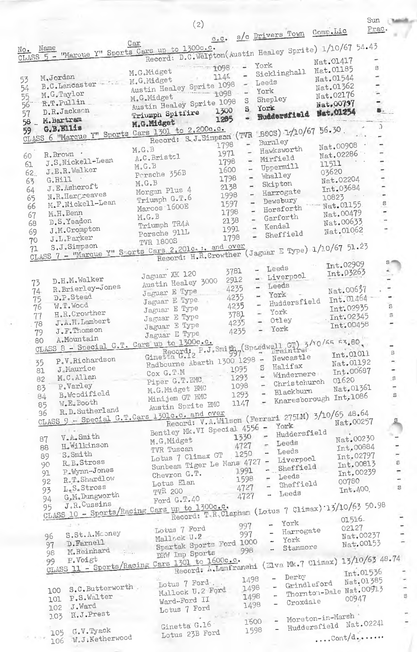|                                                               | (2)                                                     |                   |                                                    |                                                                | Sun            |
|---------------------------------------------------------------|---------------------------------------------------------|-------------------|----------------------------------------------------|----------------------------------------------------------------|----------------|
|                                                               |                                                         |                   | s/c Drivers Town                                   | Comp.Lic                                                       | Prac.          |
|                                                               | Car                                                     | 0.0.              |                                                    |                                                                |                |
| CLASS 5 - "Marque Y" Sports Cars up to 1300c.c.               | Record: D.C.Welpton(Austin Healey Sprite) 1/10/67 54.43 |                   |                                                    |                                                                |                |
|                                                               |                                                         |                   | York                                               | Nat.01417                                                      | s              |
| M.Jordan                                                      | M.G.Midget                                              | 1098<br>1140      | Sicklinghall                                       | Nat.01185                                                      |                |
| 53<br><b>B.C.Lancaster</b>                                    | M.G.Midget<br>Austin Healey Sprite 1098                 | -                 | Leeds                                              | Nat.01544<br>Nat.01362                                         |                |
| 54<br>M.G.Taylor<br>55                                        |                                                         | 1098<br>r.        | York                                               | Nat.02176                                                      |                |
| R.T.Pullin<br>56                                              | M.G.Midget<br>Austin Healey Sprite 1098                 | S                 | Shepley                                            | Nat.00797                                                      |                |
| D.R.Jackson<br>57                                             | Triumph Spitfire                                        | S.<br>1300<br>÷.  | York<br>Huddersfield                               | Nat.01254                                                      |                |
| - M. Bartram<br>58                                            | M.G.Midget                                              | 1265              |                                                    |                                                                | $\mathcal{L}$  |
| G.B.Ellis<br>CLASS 6 "Marque Y" Sports Cars 1301 to 2,200c.c. | Record: S.J.Simpson (TVR 1800S) 1/10/67 56.30.          |                   |                                                    |                                                                |                |
|                                                               |                                                         | ÷.<br>1798        | Burnley                                            | Nat.00908                                                      |                |
| R.Brown<br>60                                                 | M, G, B<br>A.C. Bristol                                 | 1971              | Hawksworth                                         | Nat.02286                                                      |                |
| J.S.Nickell-Lean<br>61                                        | $M$ , G. B                                              | 1798              | Mirfield<br>Uppermill                              | 11511                                                          |                |
| J.E.R.Walker<br>62.                                           | Persche 356B                                            | ÷<br>1600         | Whalley                                            | 03620                                                          |                |
| $G$ . $Hill$<br>63<br>J.E. Ashcroft                           | $M$ . G. B                                              | 1798<br>2138<br>× | Skipton                                            | Nat.02204                                                      |                |
| 64<br>N.R.Hargreaves                                          | Morgan Plus 4                                           | 1998              | Harrogate                                          | Int.03684<br>10823                                             |                |
| 65<br>M.F.Nickell-Lean<br>66                                  | Triumph G.T.6<br>Marcos 1600E                           | 1597              | Dewsbury                                           | Nat.01155                                                      | $\mathfrak{a}$ |
| M.H. Benn<br>67                                               | M.G.B                                                   | 1798              | Horsforth<br>Garforth                              | Nat.00479                                                      |                |
| D.S.Yeadon<br>68                                              | Triumph TR4A                                            | 2138              | Kendal                                             | Nat.00633                                                      |                |
| J.M.Crompton<br>69                                            | Porsche 911L                                            | 1991              | Sheffield                                          | Nat.01062                                                      |                |
| J.L.Parker<br>70                                              | <b>TVR 1800S</b>                                        | 1798              |                                                    |                                                                |                |
| CLASS 7 - "Marque Y" Sports Cars 2, 201c. :. and over         |                                                         |                   |                                                    | Record: H.R.Crowther (Jaguar E Type) 1/10/67 51.23             |                |
|                                                               |                                                         |                   |                                                    | Int.02909                                                      |                |
|                                                               | Jaguar XK 120                                           | 3781              | Leeds<br>- Liverpool                               | Int.03263                                                      |                |
| D.H.M.Walker<br>73                                            | Austin Healey 3000                                      | 2912              | Leeds<br>-                                         |                                                                |                |
| R.Brierley-Jones<br>74                                        | Jaguar E Type                                           | 4235              | York<br>÷                                          | Nat.00637                                                      |                |
| D.P.Stead<br>75<br>W.T.Wood                                   | Jaguar E Type.                                          | 4235<br>4235      | Huddersfield<br>-                                  | Int.01464                                                      | $\rm S$        |
| 76<br>H.R. Crowther<br>77                                     | Jaguar E Type                                           | 3781              | York<br>-                                          | Int: 02935<br>Int:02345                                        | S              |
| J.A.H. Lambert<br>78                                          | Jaguar E Type<br>Jaguar E Type                          | 4235              | Otley<br>-                                         | Int: 00458                                                     |                |
| J.F.Thomson<br>79                                             | Jaguar E Type                                           | 4235              | York<br>-                                          |                                                                |                |
| A.Mountain<br>CLASS 8 - Special G.T. Cars up to 1300c.c.      | Ginetta G.12 P.J.Smith (Speedwell GT) 3/10/45 53.80     |                   |                                                    |                                                                |                |
|                                                               |                                                         |                   |                                                    | Int.01011                                                      | S              |
| P.V.Richardson<br>35                                          | Radbourne Abarth 1300 1298 -                            |                   | Halifax                                            | Nat.01192                                                      |                |
| J.Maurice<br>81                                               | $Cox$ $G. T.M$                                          | 1095              | S<br>Windermere                                    | Int.00687                                                      |                |
| M.C.Allan<br>82<br>P.Varley                                   | Piper G.T. BMC                                          | 1293<br>1098      | Christchurch                                       | 01620                                                          | B.             |
| 83<br>B.Wcodifield<br>84                                      | M.G.Midget BMC                                          | 1293              | Blackburn                                          | Nat.01361                                                      | S              |
| W.E.Booth<br>85                                               | Minijem GT BMC<br>Austin Sprite BMC                     | 1147              |                                                    | Knaresborough Int, 1086                                        |                |
| R.D.Sutherland                                                |                                                         |                   |                                                    |                                                                |                |
| CLASS 9 - Special G.T.Cars 1301c.c. and over                  |                                                         |                   | York                                               | Record: V.A.Wilson (Ferrari 275IM) 3/10/65 48.64<br>Nat, 00257 |                |
|                                                               | Bentley Mk.VI Special 4556 -                            |                   | Huddersfield                                       |                                                                |                |
| V.A.Smith<br>87<br>H.Wilkinson                                | M.G.Midget                                              | 1330<br>4727      | Leeds<br>÷                                         | Nat.00230                                                      |                |
| 88<br>S.Smith<br>89                                           | TVR Tuscan                                              | 1250              | Leeds<br>$\overline{\phantom{a}}$                  | Int.00884<br>Int.02797                                         |                |
| R.B.Stross<br>90                                              | Lotus 7 Climax GT<br>Sunbeam Tiger Le Mans 4727         |                   | Liverpool<br>$\overline{\phantom{a}}$              | Int.00813                                                      | S              |
| P.Wynn-Jones<br>91                                            | Chevron G.T.                                            | 1991              | - Sheffield                                        | Int.00239                                                      | ÷              |
| R.T.Shardlow<br>92                                            | Lotus Elan                                              | 1598              | Leeds<br>-<br>Sheffield                            | 00780                                                          |                |
| $L_*S_*Stross$<br>93                                          | <b>TVR</b> 200                                          | 4727              | $\rightarrow$<br>Leeds<br>$\overline{\phantom{a}}$ | Int. 400                                                       | $\mathtt{s}$   |
| G.M.Dungworth<br>94<br>J.R.Cussins                            | Ford G.T.40                                             | 4727              |                                                    |                                                                |                |
| CLASS 10 - Sports/Racing Cars up to 1300c.c.                  |                                                         |                   |                                                    | Record: $T, R, C$ Lapham (Lotus 7 Climax) 13/10/63 50.98       |                |
|                                                               |                                                         |                   | York                                               | 01516                                                          |                |
| S.St.A.Mconey                                                 | Lotus 7 Ford                                            | 997<br>997        | Harrogate                                          | 02127<br>Nat.00237                                             |                |
| 96<br>D.Farnell<br>97                                         | Mallock U.2<br>Spartak Sports Ford 1000                 |                   | York<br>$\tilde{\phantom{a}}$                      | Nat.00153                                                      |                |
| M.Reinhard<br>98                                              | DRW Imp Sports                                          | 998               | Stanmore                                           |                                                                |                |
| P.Voigt<br>99                                                 | Cars 1301 to 1600c.c.                                   |                   |                                                    | Record: A.Lanfranchi (Elva Mk.7 Climax) 13/10/63 48.74         |                |
| CLASS 11 - Sports/Racing                                      |                                                         |                   |                                                    | Int.01536                                                      |                |
|                                                               | Lotus 7 Ford.                                           | 1498              | Derby                                              | Nat.01385<br>Grindleford                                       |                |
| S.C.Butterworth<br>100                                        | Mallock U.2 Ford                                        | 1498              |                                                    | Thornton-Dale Nat.00913                                        |                |
| P.S.Walter<br>101                                             | Ward-Ford II                                            | 1498              | $\overline{\phantom{m}}$<br>Croxdale               | 00947                                                          | E              |
| J.Ward<br>102<br>R.J.Prest                                    | Lotus 7 Ford                                            | 1498              |                                                    |                                                                |                |
| 103                                                           |                                                         | 1600              |                                                    | Moreton-in-Marsh                                               |                |
| $G_{*}V_{*}Tycck$<br>105                                      | Ginetta G.16.<br>Lotus 23B Ford                         | 1598              |                                                    | Huddersfield Nat.02241                                         |                |
| W.J.Netherwood<br>106                                         |                                                         |                   |                                                    | $\ldots$ Cont/d                                                |                |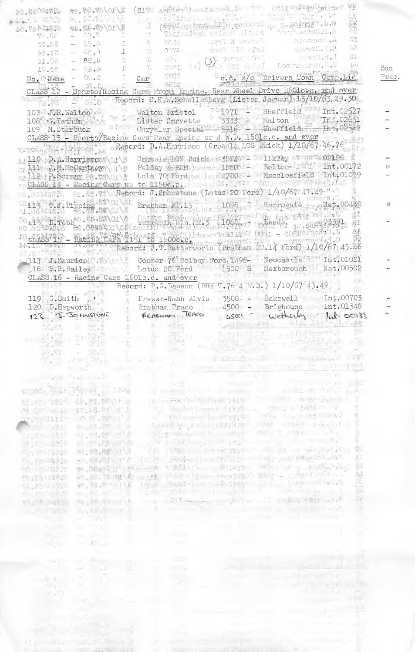|                                                                                            |                                              |                                             |                                                 | Racing helerico cor U.Adustant (Transmit 115) 1/0/07.08.08                                                                                                                                                                                                                                                                                                                                                                                                                            |                                              |
|--------------------------------------------------------------------------------------------|----------------------------------------------|---------------------------------------------|-------------------------------------------------|---------------------------------------------------------------------------------------------------------------------------------------------------------------------------------------------------------------------------------------------------------------------------------------------------------------------------------------------------------------------------------------------------------------------------------------------------------------------------------------|----------------------------------------------|
| 4045058.24<br>10.00 RB2                                                                    |                                              |                                             |                                                 |                                                                                                                                                                                                                                                                                                                                                                                                                                                                                       |                                              |
| 45352447.84                                                                                |                                              |                                             |                                                 |                                                                                                                                                                                                                                                                                                                                                                                                                                                                                       |                                              |
|                                                                                            |                                              |                                             |                                                 |                                                                                                                                                                                                                                                                                                                                                                                                                                                                                       |                                              |
|                                                                                            |                                              |                                             |                                                 |                                                                                                                                                                                                                                                                                                                                                                                                                                                                                       | 88<br>$\tilde{\Delta}$                       |
|                                                                                            |                                              |                                             |                                                 | E.P.Screen Bol F. The                                                                                                                                                                                                                                                                                                                                                                                                                                                                 | 군요                                           |
|                                                                                            |                                              |                                             |                                                 | D.R.Spening Cooper Reserved R.C                                                                                                                                                                                                                                                                                                                                                                                                                                                       | $\frac{1}{\sqrt{2}}\sum_{i=1}^{n} \lambda_i$ |
|                                                                                            |                                              |                                             |                                                 |                                                                                                                                                                                                                                                                                                                                                                                                                                                                                       | Sun                                          |
| $\text{Mo} \cdot \text{O} \oplus \text{Name}$ - $\text{O} \cdot \text{O}$                  |                                              |                                             |                                                 | $\begin{array}{ccccccccc} \frac{15 \text{h} \epsilon^4 \text{h} \beta^3 \frac{1}{2} \text{m} \beta^4}{32 \text{h} \beta^2 \text{h} \beta^4 \text{m}} & \frac{1}{2} \text{m} & \frac{1}{2} \text{m} & \frac{1}{2} \text{m} & \frac{1}{2} \text{m} & \frac{1}{2} \text{m} & \frac{1}{2} \text{m} & \frac{1}{2} \text{m} & \frac{1}{2} \text{m} & \frac{1}{2} \text{m} & \frac{1}{2} \text{m} & \frac{1}{2} \text{m} & \frac$<br>c.d. s/c Privers Town Comp. Lic                         | Prac.                                        |
|                                                                                            |                                              |                                             |                                                 | CLASS 12 - Sports/Racing Cars Front Engine, Rear Maeel Drive 1601c as and over                                                                                                                                                                                                                                                                                                                                                                                                        |                                              |
|                                                                                            |                                              |                                             |                                                 | $\frac{1}{2}$ $\frac{1}{10}$ $\frac{1}{10}$ $\frac{1}{10}$ $\frac{1}{10}$ $\frac{1}{10}$ $\frac{1}{10}$ $\frac{1}{10}$ $\frac{1}{10}$ $\frac{1}{10}$ $\frac{1}{10}$ $\frac{1}{10}$ $\frac{1}{10}$ $\frac{1}{10}$ $\frac{1}{10}$ $\frac{1}{10}$ $\frac{1}{10}$ $\frac{1}{10}$ $\frac{1}{10}$ $\frac{1}{10}$ $\$                                                                                                                                                                        |                                              |
|                                                                                            |                                              |                                             |                                                 | 107 J.R. Walton . Walton Bristol 201971 - Sheffield 2004 Int.02527<br>108 G.Tatham 00. Lister Corvette 3343 - Malton Int.02651<br>109 M.Sterbuck Chrysler Special 5016 - Sheffield 3 Int.02542                                                                                                                                                                                                                                                                                        |                                              |
|                                                                                            |                                              |                                             |                                                 |                                                                                                                                                                                                                                                                                                                                                                                                                                                                                       |                                              |
|                                                                                            |                                              |                                             |                                                 |                                                                                                                                                                                                                                                                                                                                                                                                                                                                                       |                                              |
|                                                                                            |                                              |                                             |                                                 | CLASS 13 - Sports/Racing Cars Rear Engine or 4 W.D. 1601c.c. and over                                                                                                                                                                                                                                                                                                                                                                                                                 |                                              |
|                                                                                            |                                              |                                             |                                                 | Eunoa <sub>ph</sub> 24 - Bioosa, e eRecord: D.A.Harrison (Crossle, 105 Buick) 1/10/67 46.76 ett.                                                                                                                                                                                                                                                                                                                                                                                      |                                              |
|                                                                                            |                                              |                                             |                                                 | Ar 110 P.A. Harrisons\or\} Crossie 10S Buick 6:352400 D TIkley 6:000 02126 f                                                                                                                                                                                                                                                                                                                                                                                                          |                                              |
|                                                                                            |                                              |                                             |                                                 | Of 141 J.M. McCartaeva (u ) Felday 4, BMM ) normal 1880 i - Bolton-Induit Int.00172                                                                                                                                                                                                                                                                                                                                                                                                   | S                                            |
|                                                                                            |                                              |                                             |                                                 | ar 112ar P. Scragg 86.78\or\r Lola 70(Tord, o) ) writ 70010- Macclesfield Int.01059                                                                                                                                                                                                                                                                                                                                                                                                   |                                              |
|                                                                                            |                                              |                                             |                                                 | co CLASS 14 - Racing Cars ap to 11500.c. at 1948. It will as movement for                                                                                                                                                                                                                                                                                                                                                                                                             |                                              |
|                                                                                            |                                              |                                             |                                                 |                                                                                                                                                                                                                                                                                                                                                                                                                                                                                       |                                              |
|                                                                                            |                                              |                                             |                                                 |                                                                                                                                                                                                                                                                                                                                                                                                                                                                                       | S                                            |
|                                                                                            |                                              |                                             |                                                 |                                                                                                                                                                                                                                                                                                                                                                                                                                                                                       |                                              |
|                                                                                            |                                              |                                             |                                                 |                                                                                                                                                                                                                                                                                                                                                                                                                                                                                       |                                              |
|                                                                                            |                                              |                                             |                                                 |                                                                                                                                                                                                                                                                                                                                                                                                                                                                                       |                                              |
|                                                                                            |                                              |                                             |                                                 | 10 chass 15 - Racing Cara 119 1500c.c.<br>An IC - 106Fe Funding Cara 149 1500c.c.<br>An IC - 10/67 45.46                                                                                                                                                                                                                                                                                                                                                                              |                                              |
|                                                                                            |                                              |                                             |                                                 |                                                                                                                                                                                                                                                                                                                                                                                                                                                                                       |                                              |
|                                                                                            |                                              |                                             |                                                 |                                                                                                                                                                                                                                                                                                                                                                                                                                                                                       |                                              |
|                                                                                            |                                              |                                             |                                                 | 11706 Faltauricate Pater Pooper 76 Ford 1498-1 Newcastle A <sup>RM</sup> Int <sup>1</sup> 01011<br>18 B.R.Bailey<br><u>CLASS.16 - Racing Cars</u> 1601c.c. and over                                                                                                                                                                                                                                                                                                                   |                                              |
|                                                                                            |                                              |                                             |                                                 | Record: P.G.Lawson (BRM T.76 4 W.D.) 1/10/67 43.49                                                                                                                                                                                                                                                                                                                                                                                                                                    |                                              |
| 119 $G$ . Smith $\mathbb{R}^4$                                                             |                                              |                                             |                                                 | Frazer-Nash Alvis 3500 - Bakewell 1 - Int.00703                                                                                                                                                                                                                                                                                                                                                                                                                                       |                                              |
|                                                                                            | 120. D. Hepworth                             |                                             |                                                 | Brabham Traco 4500 - Brighouse Int.01348                                                                                                                                                                                                                                                                                                                                                                                                                                              |                                              |
| 123.11                                                                                     | J. JOHNSTONE                                 |                                             |                                                 | BRACHAMA TRACO 4500 wetherly to fait 00133                                                                                                                                                                                                                                                                                                                                                                                                                                            |                                              |
|                                                                                            |                                              |                                             |                                                 | <b>DESCRIPTION</b>                                                                                                                                                                                                                                                                                                                                                                                                                                                                    |                                              |
|                                                                                            |                                              |                                             |                                                 |                                                                                                                                                                                                                                                                                                                                                                                                                                                                                       |                                              |
|                                                                                            |                                              |                                             |                                                 |                                                                                                                                                                                                                                                                                                                                                                                                                                                                                       |                                              |
|                                                                                            |                                              |                                             |                                                 |                                                                                                                                                                                                                                                                                                                                                                                                                                                                                       |                                              |
| Ag. Vi                                                                                     |                                              | $\mathcal{P}^{\mathcal{P}}_{\mathcal{A}}$ . |                                                 |                                                                                                                                                                                                                                                                                                                                                                                                                                                                                       |                                              |
|                                                                                            |                                              |                                             |                                                 | marketing and                                                                                                                                                                                                                                                                                                                                                                                                                                                                         |                                              |
|                                                                                            |                                              |                                             |                                                 | went is a and and the starting                                                                                                                                                                                                                                                                                                                                                                                                                                                        |                                              |
| $\mathcal{L} = \mathcal{L}$                                                                | <b>Barbara</b>                               | $-0.025$                                    | company of the company                          | $\mathbb{R}^n$ is a set of $\mathbb{R}^n$                                                                                                                                                                                                                                                                                                                                                                                                                                             |                                              |
|                                                                                            |                                              |                                             |                                                 | and the sound of the same states of the same                                                                                                                                                                                                                                                                                                                                                                                                                                          |                                              |
| NELREADORE H                                                                               | 99, 29, 78 21 3                              |                                             |                                                 | what a first interview and continued to                                                                                                                                                                                                                                                                                                                                                                                                                                               |                                              |
|                                                                                            | 生活的 网络 计图 经 的复数                              |                                             |                                                 | cherry) and the 119.5 . The fact of a                                                                                                                                                                                                                                                                                                                                                                                                                                                 |                                              |
| <u>n</u> e Manisti¤                                                                        | 모나 18, 28, 남북                                |                                             |                                                 | En essentification payable come or acts agreement                                                                                                                                                                                                                                                                                                                                                                                                                                     |                                              |
| THE CHAP                                                                                   | $-1.17 - 177 - 1.1$                          |                                             |                                                 | the past of the contract of the contract of the contract of                                                                                                                                                                                                                                                                                                                                                                                                                           |                                              |
| 5,831.9ApF                                                                                 | $= 1.444$ , $1.444$ , $1.444$                |                                             |                                                 | Allow subscripting the second of the state of the state of the                                                                                                                                                                                                                                                                                                                                                                                                                        |                                              |
| $1.10 - 105$                                                                               | eft in Sultan with Riv                       |                                             |                                                 | the contract of the page of the contract of the contract of the contract of the contract of the contract of the                                                                                                                                                                                                                                                                                                                                                                       |                                              |
| Evidents!                                                                                  | 39.精准(U.S<br>shift with the                  |                                             |                                                 | The preferring and a sense in the                                                                                                                                                                                                                                                                                                                                                                                                                                                     | 成正                                           |
| 28.88 海热<br>52900 - 11                                                                     |                                              |                                             |                                                 | I HAT PROPER NORTHWEST I WAS A DISTURBANCE<br>ee, weer the breaking the computer of the product of an analysis troop.                                                                                                                                                                                                                                                                                                                                                                 | 84                                           |
| MARI (53.61                                                                                |                                              |                                             |                                                 | an, as though the set of for jeron when you this - point and                                                                                                                                                                                                                                                                                                                                                                                                                          | Λã                                           |
| $\mathbb{E}[\mathbb{E}_x \mathbb{E}_y^{\text{B}}] = \mathbb{E}[\mathbb{E}_x \mathbb{E}_y]$ | 87, 89, 199 p.f. R.                          |                                             |                                                 | TAGE (FARIA) as saddlinger the 1990 as facil                                                                                                                                                                                                                                                                                                                                                                                                                                          | PE                                           |
| the plan start                                                                             | ac. Acar Card                                |                                             |                                                 | $\label{eq:10} \frac{1}{2} \cos \theta = \frac{1}{2} \frac{1}{2} \left[ \frac{1}{2} \cos \theta - \frac{1}{2} \cos \theta - \frac{1}{2} \cos \theta - \frac{1}{2} \cos \theta - \frac{1}{2} \cos \theta - \frac{1}{2} \cos \theta - \frac{1}{2} \cos \theta - \frac{1}{2} \cos \theta - \frac{1}{2} \cos \theta - \frac{1}{2} \cos \theta - \frac{1}{2} \cos \theta - \frac{1}{2} \cos \theta - \frac{1}{2} \cos \theta - \frac{1}{2} \cos \theta - \frac{1}{2} \cos \theta - \frac{$ | 승분'                                          |
| <b>PO PP. UEBBL</b>                                                                        | $= 120, 64, 10, 18$                          |                                             | the contract of the contract of the contract of | this contribution for A in a contribution of the other<br><b>SALES AND ARRANGEMENT</b>                                                                                                                                                                                                                                                                                                                                                                                                | 98                                           |
| - 12A)                                                                                     | <b>South Courses</b>                         |                                             |                                                 | The committee                                                                                                                                                                                                                                                                                                                                                                                                                                                                         |                                              |
| <b>Supple</b>                                                                              |                                              |                                             |                                                 |                                                                                                                                                                                                                                                                                                                                                                                                                                                                                       |                                              |
| الترين                                                                                     | <b>ALL ST</b>                                |                                             |                                                 |                                                                                                                                                                                                                                                                                                                                                                                                                                                                                       |                                              |
| e., m                                                                                      | <b>RSU</b>                                   |                                             |                                                 |                                                                                                                                                                                                                                                                                                                                                                                                                                                                                       |                                              |
|                                                                                            |                                              |                                             |                                                 |                                                                                                                                                                                                                                                                                                                                                                                                                                                                                       |                                              |
|                                                                                            |                                              |                                             |                                                 |                                                                                                                                                                                                                                                                                                                                                                                                                                                                                       |                                              |
|                                                                                            |                                              |                                             |                                                 | Fallen - a staff of a                                                                                                                                                                                                                                                                                                                                                                                                                                                                 |                                              |
|                                                                                            |                                              |                                             |                                                 |                                                                                                                                                                                                                                                                                                                                                                                                                                                                                       |                                              |
|                                                                                            |                                              |                                             |                                                 |                                                                                                                                                                                                                                                                                                                                                                                                                                                                                       |                                              |
|                                                                                            |                                              |                                             |                                                 |                                                                                                                                                                                                                                                                                                                                                                                                                                                                                       |                                              |
|                                                                                            |                                              |                                             |                                                 |                                                                                                                                                                                                                                                                                                                                                                                                                                                                                       |                                              |
|                                                                                            |                                              |                                             |                                                 | <b>The Common</b>                                                                                                                                                                                                                                                                                                                                                                                                                                                                     | $-30.04$                                     |
|                                                                                            | 이 오늘 일이 있다.<br>Marketing Company of the U.S. | maa k<br>Λ                                  | <b>CONTRACTOR</b> STATES                        | a concern and a property<br><b>Service Control</b>                                                                                                                                                                                                                                                                                                                                                                                                                                    |                                              |